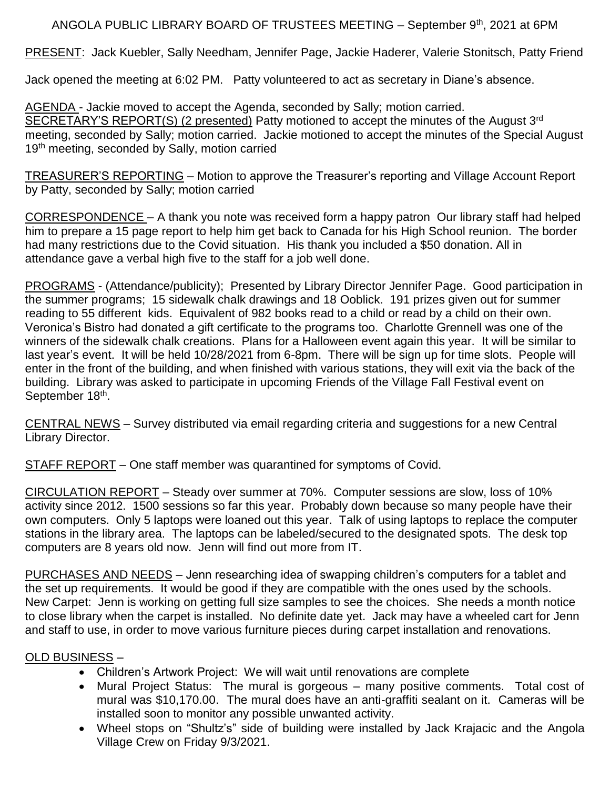## ANGOLA PUBLIC LIBRARY BOARD OF TRUSTEES MEETING - September 9th, 2021 at 6PM

PRESENT: Jack Kuebler, Sally Needham, Jennifer Page, Jackie Haderer, Valerie Stonitsch, Patty Friend

Jack opened the meeting at 6:02 PM. Patty volunteered to act as secretary in Diane's absence.

AGENDA - Jackie moved to accept the Agenda, seconded by Sally; motion carried. SECRETARY'S REPORT(S) (2 presented) Patty motioned to accept the minutes of the August 3rd meeting, seconded by Sally; motion carried. Jackie motioned to accept the minutes of the Special August 19<sup>th</sup> meeting, seconded by Sally, motion carried

TREASURER'S REPORTING – Motion to approve the Treasurer's reporting and Village Account Report by Patty, seconded by Sally; motion carried

CORRESPONDENCE – A thank you note was received form a happy patron Our library staff had helped him to prepare a 15 page report to help him get back to Canada for his High School reunion. The border had many restrictions due to the Covid situation. His thank you included a \$50 donation. All in attendance gave a verbal high five to the staff for a job well done.

PROGRAMS - (Attendance/publicity); Presented by Library Director Jennifer Page. Good participation in the summer programs; 15 sidewalk chalk drawings and 18 Ooblick. 191 prizes given out for summer reading to 55 different kids. Equivalent of 982 books read to a child or read by a child on their own. Veronica's Bistro had donated a gift certificate to the programs too. Charlotte Grennell was one of the winners of the sidewalk chalk creations. Plans for a Halloween event again this year. It will be similar to last year's event. It will be held 10/28/2021 from 6-8pm. There will be sign up for time slots. People will enter in the front of the building, and when finished with various stations, they will exit via the back of the building. Library was asked to participate in upcoming Friends of the Village Fall Festival event on September 18<sup>th</sup>.

CENTRAL NEWS – Survey distributed via email regarding criteria and suggestions for a new Central Library Director.

STAFF REPORT – One staff member was quarantined for symptoms of Covid.

CIRCULATION REPORT – Steady over summer at 70%. Computer sessions are slow, loss of 10% activity since 2012. 1500 sessions so far this year. Probably down because so many people have their own computers. Only 5 laptops were loaned out this year. Talk of using laptops to replace the computer stations in the library area. The laptops can be labeled/secured to the designated spots. The desk top computers are 8 years old now. Jenn will find out more from IT.

PURCHASES AND NEEDS – Jenn researching idea of swapping children's computers for a tablet and the set up requirements. It would be good if they are compatible with the ones used by the schools. New Carpet: Jenn is working on getting full size samples to see the choices. She needs a month notice to close library when the carpet is installed. No definite date yet. Jack may have a wheeled cart for Jenn and staff to use, in order to move various furniture pieces during carpet installation and renovations.

## OLD BUSINESS –

- Children's Artwork Project: We will wait until renovations are complete
- Mural Project Status: The mural is gorgeous many positive comments. Total cost of mural was \$10,170.00. The mural does have an anti-graffiti sealant on it. Cameras will be installed soon to monitor any possible unwanted activity.
- Wheel stops on "Shultz's" side of building were installed by Jack Krajacic and the Angola Village Crew on Friday 9/3/2021.